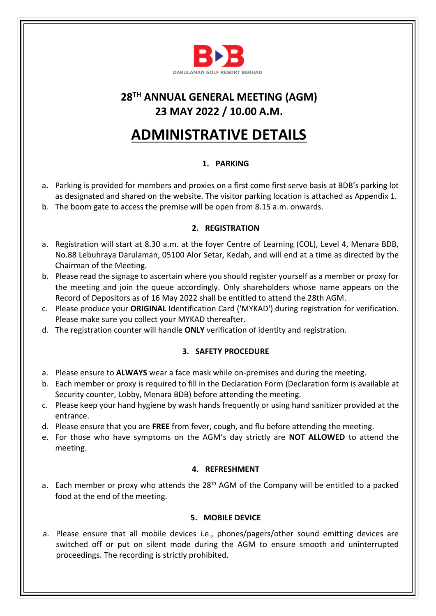

### **28 TH ANNUAL GENERAL MEETING (AGM) 23 MAY 2022 / 10.00 A.M.**

# **ADMINISTRATIVE DETAILS**

### **1. PARKING**

- a. Parking is provided for members and proxies on a first come first serve basis at BDB's parking lot as designated and shared on the website. The visitor parking location is attached as Appendix 1.
- b. The boom gate to access the premise will be open from 8.15 a.m. onwards.

#### **2. REGISTRATION**

- a. Registration will start at 8.30 a.m. at the foyer Centre of Learning (COL), Level 4, Menara BDB, No.88 Lebuhraya Darulaman, 05100 Alor Setar, Kedah, and will end at a time as directed by the Chairman of the Meeting.
- b. Please read the signage to ascertain where you should register yourself as a member or proxy for the meeting and join the queue accordingly. Only shareholders whose name appears on the Record of Depositors as of 16 May 2022 shall be entitled to attend the 28th AGM.
- c. Please produce your **ORIGINAL** Identification Card ('MYKAD') during registration for verification. Please make sure you collect your MYKAD thereafter.
- d. The registration counter will handle **ONLY** verification of identity and registration.

#### **3. SAFETY PROCEDURE**

- a. Please ensure to **ALWAYS** wear a face mask while on-premises and during the meeting.
- b. Each member or proxy is required to fill in the Declaration Form (Declaration form is available at Security counter, Lobby, Menara BDB) before attending the meeting.
- c. Please keep your hand hygiene by wash hands frequently or using hand sanitizer provided at the entrance.
- d. Please ensure that you are **FREE** from fever, cough, and flu before attending the meeting.
- e. For those who have symptoms on the AGM's day strictly are **NOT ALLOWED** to attend the meeting.

#### **4. REFRESHMENT**

a. Each member or proxy who attends the  $28<sup>th</sup>$  AGM of the Company will be entitled to a packed food at the end of the meeting.

#### **5. MOBILE DEVICE**

a. Please ensure that all mobile devices i.e., phones/pagers/other sound emitting devices are switched off or put on silent mode during the AGM to ensure smooth and uninterrupted proceedings. The recording is strictly prohibited.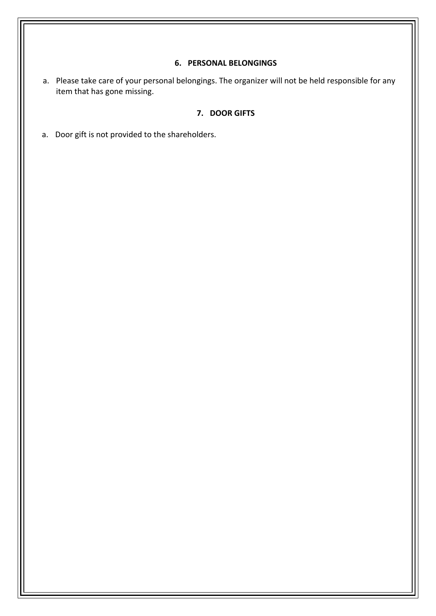#### **6. PERSONAL BELONGINGS**

a. Please take care of your personal belongings. The organizer will not be held responsible for any item that has gone missing.

#### **7. DOOR GIFTS**

a. Door gift is not provided to the shareholders.